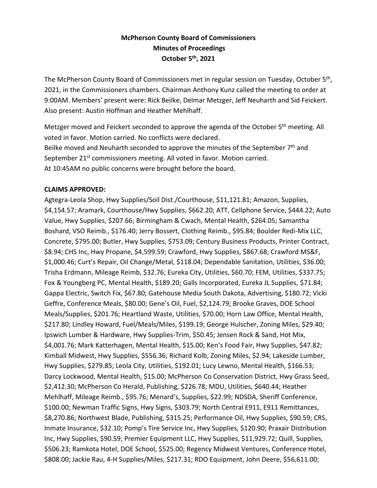# **McPherson County Board of Commissioners Minutes of Proceedings October 5th , 2021**

The McPherson County Board of Commissioners met in regular session on Tuesday, October 5<sup>th</sup>, 2021, in the Commissioners chambers. Chairman Anthony Kunz called the meeting to order at 9:00AM. Members' present were: Rick Beilke, Delmar Metzger, Jeff Neuharth and Sid Feickert. Also present: Austin Hoffman and Heather Mehlhaff.

Metzger moved and Feickert seconded to approve the agenda of the October 5<sup>th</sup> meeting. All voted in favor. Motion carried. No conflicts were declared. Beilke moved and Neuharth seconded to approve the minutes of the September 7<sup>th</sup> and September 21<sup>st</sup> commissioners meeting. All voted in favor. Motion carried. At 10:45AM no public concerns were brought before the board.

### **CLAIMS APPROVED:**

Agtegra-Leola Shop, Hwy Supplies/Soil Dist./Courthouse, \$11,121.81; Amazon, Supplies, \$4,154.57; Aramark, Courthouse/Hwy Supplies, \$662.20; ATT, Cellphone Service, \$444.22; Auto Value, Hwy Supplies, \$207.66; Birmingham & Cwach, Mental Health, \$264.05; Samantha Boshard, VSO Reimb., \$176.40; Jerry Bossert, Clothing Reimb., \$95.84; Boulder Redi-Mix LLC, Concrete, \$795.00; Butler, Hwy Supplies, \$753.09; Century Business Products, Printer Contract, \$8.94; CHS Inc, Hwy Propane, \$4,599.59; Crawford, Hwy Supplies, \$867.68; Crawford MS&F, \$1,000.46; Curt's Repair, Oil Change/Metal, \$118.04; Dependable Sanitation, Utilities, \$36.00; Trisha Erdmann, Mileage Reimb, \$32.76; Eureka City, Utilities, \$60.70; FEM, Utilities, \$337.75; Fox & Youngberg PC, Mental Health, \$189.20; Galls Incorporated, Eureka JL Supplies, \$71.84; Gappa Electric, Switch Fix, \$67.80; Gatehouse Media South Dakota, Advertising, \$180.72; Vicki Geffre, Conference Meals, \$80.00; Gene's Oil, Fuel, \$2,124.79; Brooke Graves, DOE School Meals/Supplies, \$201.76; Heartland Waste, Utilities, \$70.00; Horn Law Office, Mental Health, \$217.80; Lindley Howard, Fuel/Meals/Miles, \$199.19; George Hulscher, Zoning Miles, \$29.40; Ipswich Lumber & Hardware, Hwy Supplies-Trim, \$50.45; Jensen Rock & Sand, Hot Mix, \$4,001.76; Mark Katterhagen, Mental Health, \$15.00; Ken's Food Fair, Hwy Supplies, \$47.82; Kimball Midwest, Hwy Supplies, \$556.36; Richard Kolb, Zoning Miles, \$2.94; Lakeside Lumber, Hwy Supplies, \$279.85; Leola City, Utilities, \$192.01; Lucy Lewno, Mental Health, \$166.53; Darcy Lockwood, Mental Health, \$15.00; McPherson Co Conservation District, Hwy Grass Seed, \$2,412.30; McPherson Co Herald, Publishing, \$226.78; MDU, Utilities, \$640.44; Heather Mehlhaff, Mileage Reimb., \$95.76; Menard's, Supplies, \$22.99; NDSDA, Sheriff Conference, \$100.00; Newman Traffic Signs, Hwy Signs, \$303.79; North Central E911, E911 Remittances, \$8,270.86; Northwest Blade, Publishing, \$315.25; Performance Oil, Hwy Supplies, \$90.59; CRS, Inmate Insurance, \$32.10; Pomp's Tire Service Inc, Hwy Supplies, \$120.90; Praxair Distribution Inc, Hwy Supplies, \$90.59; Premier Equipment LLC, Hwy Supplies, \$11,929.72; Quill, Supplies, \$506.23; Ramkota Hotel, DOE School, \$525.00; Regency Midwest Ventures, Conference Hotel, \$808.00; Jackie Rau, 4-H Supplies/Miles, \$217.31; RDO Equipment, John Deere, \$56,611.00;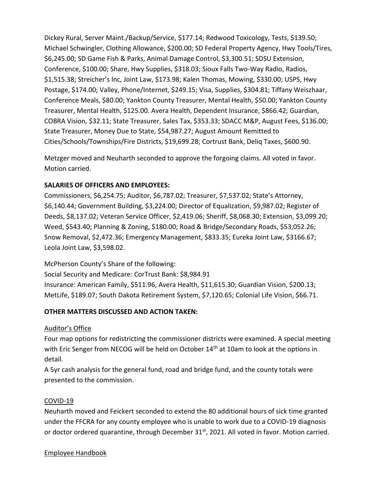Dickey Rural, Server Maint./Backup/Service, \$177.14; Redwood Toxicology, Tests, \$139.50; Michael Schwingler, Clothing Allowance, \$200.00; SD Federal Property Agency, Hwy Tools/Tires, \$6,245.00; SD Game Fish & Parks, Animal Damage Control, \$3,300.51; SDSU Extension, Conference, \$100.00; Share, Hwy Supplies, \$318.03; Sioux Falls Two-Way Radio, Radios, \$1,515.38; Streicher's Inc, Joint Law, \$173.98; Kalen Thomas, Mowing, \$330.00; USPS, Hwy Postage, \$174.00; Valley, Phone/Internet, \$249.15; Visa, Supplies, \$304.81; Tiffany Weiszhaar, Conference Meals, \$80.00; Yankton County Treasurer, Mental Health, \$50.00; Yankton County Treasurer, Mental Health, \$125.00. Avera Health, Dependent Insurance, \$866.42; Guardian, COBRA Vision, \$32.11; State Treasurer, Sales Tax, \$353.33; SDACC M&P, August Fees, \$136.00; State Treasurer, Money Due to State, \$54,987.27; August Amount Remitted to Cities/Schools/Townships/Fire Districts, \$19,699.28; Cortrust Bank, Deliq Taxes, \$600.90.

Metzger moved and Neuharth seconded to approve the forgoing claims. All voted in favor. Motion carried.

### **SALARIES OF OFFICERS AND EMPLOYEES:**

Commissioners, \$6,254.75; Auditor, \$6,787.02; Treasurer, \$7,537.02; State's Attorney, \$6,140.44; Government Building, \$3,224.00; Director of Equalization, \$9,987.02; Register of Deeds, \$8,137.02; Veteran Service Officer, \$2,419.06; Sheriff, \$8,068.30; Extension, \$3,099.20; Weed, \$543.40; Planning & Zoning, \$180.00; Road & Bridge/Secondary Roads, \$53,052.26; Snow Removal, \$2,472.36; Emergency Management, \$833.35; Eureka Joint Law, \$3166.67; Leola Joint Law, \$3,598.02.

McPherson County's Share of the following: Social Security and Medicare: CorTrust Bank: \$8,984.91 Insurance: American Family, \$511.96, Avera Health, \$11,615.30; Guardian Vision, \$200.13; MetLife, \$189.07; South Dakota Retirement System, \$7,120.65; Colonial Life Vision, \$66.71.

# **OTHER MATTERS DISCUSSED AND ACTION TAKEN:**

# Auditor's Office

Four map options for redistricting the commissioner districts were examined. A special meeting with Eric Senger from NECOG will be held on October 14<sup>th</sup> at 10am to look at the options in detail.

A 5yr cash analysis for the general fund, road and bridge fund, and the county totals were presented to the commission.

#### COVID-19

Neuharth moved and Feickert seconded to extend the 80 additional hours of sick time granted under the FFCRA for any county employee who is unable to work due to a COVID-19 diagnosis or doctor ordered quarantine, through December 31<sup>st</sup>, 2021. All voted in favor. Motion carried.

#### Employee Handbook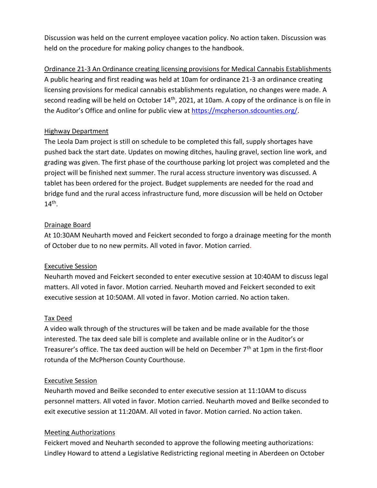Discussion was held on the current employee vacation policy. No action taken. Discussion was held on the procedure for making policy changes to the handbook.

Ordinance 21-3 An Ordinance creating licensing provisions for Medical Cannabis Establishments A public hearing and first reading was held at 10am for ordinance 21-3 an ordinance creating licensing provisions for medical cannabis establishments regulation, no changes were made. A second reading will be held on October 14<sup>th</sup>, 2021, at 10am. A copy of the ordinance is on file in the Auditor's Office and online for public view at [https://mcpherson.sdcounties.org/.](https://mcpherson.sdcounties.org/)

#### Highway Department

The Leola Dam project is still on schedule to be completed this fall, supply shortages have pushed back the start date. Updates on mowing ditches, hauling gravel, section line work, and grading was given. The first phase of the courthouse parking lot project was completed and the project will be finished next summer. The rural access structure inventory was discussed. A tablet has been ordered for the project. Budget supplements are needed for the road and bridge fund and the rural access infrastructure fund, more discussion will be held on October  $14<sup>th</sup>$ .

### Drainage Board

At 10:30AM Neuharth moved and Feickert seconded to forgo a drainage meeting for the month of October due to no new permits. All voted in favor. Motion carried.

# Executive Session

Neuharth moved and Feickert seconded to enter executive session at 10:40AM to discuss legal matters. All voted in favor. Motion carried. Neuharth moved and Feickert seconded to exit executive session at 10:50AM. All voted in favor. Motion carried. No action taken.

#### Tax Deed

A video walk through of the structures will be taken and be made available for the those interested. The tax deed sale bill is complete and available online or in the Auditor's or Treasurer's office. The tax deed auction will be held on December 7<sup>th</sup> at 1pm in the first-floor rotunda of the McPherson County Courthouse.

#### Executive Session

Neuharth moved and Beilke seconded to enter executive session at 11:10AM to discuss personnel matters. All voted in favor. Motion carried. Neuharth moved and Beilke seconded to exit executive session at 11:20AM. All voted in favor. Motion carried. No action taken.

#### Meeting Authorizations

Feickert moved and Neuharth seconded to approve the following meeting authorizations: Lindley Howard to attend a Legislative Redistricting regional meeting in Aberdeen on October